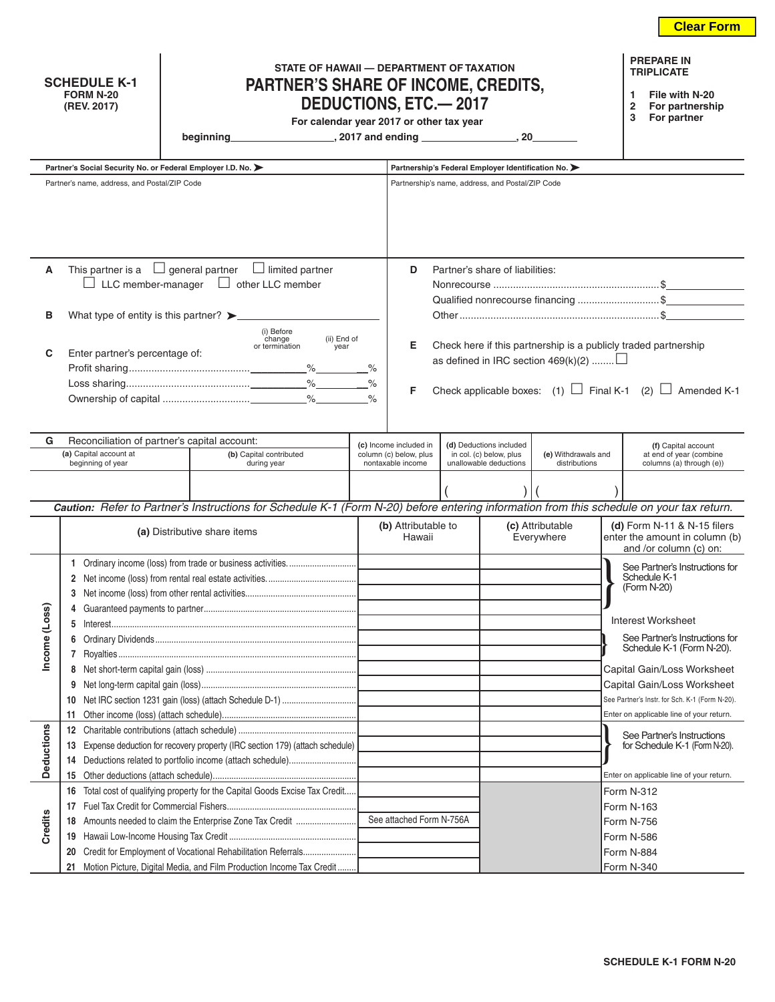**Clear Form**

| <b>SCHEDULE K-1</b> |
|---------------------|
| <b>FORM N-20</b>    |
| (REV. 2017)         |

## **STATE OF HAWAII — DEPARTMENT OF TAXATION PARTNER'S SHARE OF INCOME, CREDITS, DEDUCTIONS, ETC.— 2017**

**1 File with N-20**

**2 For partnership**

**PREPARE IN TRIPLICATE**

For calendar year 2017 or other tax year

|  | beginning |
|--|-----------|
|  |           |
|  |           |

**beginning , 2017** and ending <u>successfunctions</u>  $\overline{\phantom{a}}$ , 20

|              | Partner's Social Security No. or Federal Employer I.D. No. >                                                                             |  |                         |                               |                                                  |                                | Partnership's Federal Employer Identification No.  |                                                               |  |                                                                     |  |
|--------------|------------------------------------------------------------------------------------------------------------------------------------------|--|-------------------------|-------------------------------|--------------------------------------------------|--------------------------------|----------------------------------------------------|---------------------------------------------------------------|--|---------------------------------------------------------------------|--|
|              | Partner's name, address, and Postal/ZIP Code                                                                                             |  |                         |                               | Partnership's name, address, and Postal/ZIP Code |                                |                                                    |                                                               |  |                                                                     |  |
|              |                                                                                                                                          |  |                         |                               |                                                  |                                |                                                    |                                                               |  |                                                                     |  |
|              |                                                                                                                                          |  |                         |                               |                                                  |                                |                                                    |                                                               |  |                                                                     |  |
|              |                                                                                                                                          |  |                         |                               |                                                  |                                |                                                    |                                                               |  |                                                                     |  |
|              |                                                                                                                                          |  |                         |                               |                                                  |                                |                                                    |                                                               |  |                                                                     |  |
| A            | This partner is a $\Box$ general partner $\Box$ limited partner                                                                          |  |                         |                               | D                                                |                                | Partner's share of liabilities:                    |                                                               |  |                                                                     |  |
|              | $\Box$ LLC member-manager                                                                                                                |  | $\Box$ other LLC member |                               |                                                  |                                |                                                    |                                                               |  |                                                                     |  |
|              |                                                                                                                                          |  |                         |                               |                                                  |                                |                                                    |                                                               |  | Qualified nonrecourse financing \$                                  |  |
| в            | What type of entity is this partner? $\blacktriangleright$                                                                               |  |                         |                               |                                                  |                                |                                                    |                                                               |  |                                                                     |  |
|              |                                                                                                                                          |  | (i) Before              |                               |                                                  |                                |                                                    |                                                               |  |                                                                     |  |
| С            | change<br>(ii) End of<br>or termination<br>year<br>Enter partner's percentage of:                                                        |  |                         |                               | Е                                                |                                |                                                    |                                                               |  | Check here if this partnership is a publicly traded partnership     |  |
|              |                                                                                                                                          |  |                         | $\%$                          |                                                  |                                |                                                    | as defined in IRC section $469(k)(2)$                         |  |                                                                     |  |
|              |                                                                                                                                          |  |                         | $\%$                          |                                                  |                                |                                                    |                                                               |  |                                                                     |  |
|              |                                                                                                                                          |  |                         | $\%$                          | F                                                |                                |                                                    |                                                               |  | Check applicable boxes: (1) $\Box$ Final K-1 (2) $\Box$ Amended K-1 |  |
|              |                                                                                                                                          |  |                         |                               |                                                  |                                |                                                    |                                                               |  |                                                                     |  |
|              |                                                                                                                                          |  |                         |                               |                                                  |                                |                                                    |                                                               |  |                                                                     |  |
| G            | Reconciliation of partner's capital account:<br>(a) Capital account at                                                                   |  | (b) Capital contributed |                               | (c) Income included in<br>column (c) below, plus |                                | (d) Deductions included<br>in col. (c) below, plus | (e) Withdrawals and                                           |  | (f) Capital account<br>at end of year (combine                      |  |
|              | beginning of year                                                                                                                        |  | during year             |                               | nontaxable income                                |                                | unallowable deductions                             | distributions                                                 |  | columns (a) through (e))                                            |  |
|              |                                                                                                                                          |  |                         |                               |                                                  |                                |                                                    |                                                               |  |                                                                     |  |
|              |                                                                                                                                          |  |                         |                               |                                                  |                                |                                                    |                                                               |  |                                                                     |  |
|              | Caution: Refer to Partner's Instructions for Schedule K-1 (Form N-20) before entering information from this schedule on your tax return. |  |                         |                               |                                                  |                                |                                                    |                                                               |  |                                                                     |  |
|              | (a) Distributive share items                                                                                                             |  |                         | (b) Attributable to<br>Hawaii |                                                  | (c) Attributable<br>Everywhere |                                                    | (d) Form N-11 & N-15 filers<br>enter the amount in column (b) |  |                                                                     |  |
|              |                                                                                                                                          |  |                         |                               |                                                  |                                |                                                    |                                                               |  | and /or column (c) on:                                              |  |
|              |                                                                                                                                          |  |                         |                               |                                                  |                                |                                                    |                                                               |  | See Partner's Instructions for                                      |  |
|              | 2                                                                                                                                        |  |                         |                               |                                                  |                                |                                                    |                                                               |  | Schedule K-1<br>(Form N-20)                                         |  |
|              | 3                                                                                                                                        |  |                         |                               |                                                  |                                |                                                    |                                                               |  |                                                                     |  |
| ncome (Loss) |                                                                                                                                          |  |                         |                               |                                                  |                                |                                                    |                                                               |  | <b>Interest Worksheet</b>                                           |  |
|              |                                                                                                                                          |  |                         |                               |                                                  |                                |                                                    |                                                               |  | See Partner's Instructions for                                      |  |
|              |                                                                                                                                          |  |                         |                               |                                                  |                                |                                                    |                                                               |  | Schedule K-1 (Form N-20).                                           |  |
|              |                                                                                                                                          |  |                         |                               |                                                  |                                |                                                    |                                                               |  | Capital Gain/Loss Worksheet                                         |  |
|              | 9                                                                                                                                        |  |                         |                               |                                                  |                                |                                                    |                                                               |  | Capital Gain/Loss Worksheet                                         |  |
|              |                                                                                                                                          |  |                         |                               |                                                  |                                |                                                    |                                                               |  | See Partner's Instr. for Sch. K-1 (Form N-20).                      |  |
|              | 11                                                                                                                                       |  |                         |                               |                                                  |                                |                                                    |                                                               |  | Enter on applicable line of your return.                            |  |
|              | 12                                                                                                                                       |  |                         |                               |                                                  |                                |                                                    |                                                               |  | See Partner's Instructions                                          |  |
|              | Expense deduction for recovery property (IRC section 179) (attach schedule)<br>13                                                        |  |                         |                               |                                                  |                                |                                                    |                                                               |  | for Schedule K-1 (Form N-20).                                       |  |
| Deductions   | Deductions related to portfolio income (attach schedule)<br>14                                                                           |  |                         |                               |                                                  |                                |                                                    |                                                               |  |                                                                     |  |
|              | 15                                                                                                                                       |  |                         |                               |                                                  |                                |                                                    |                                                               |  | Enter on applicable line of your return.                            |  |
|              | Total cost of qualifying property for the Capital Goods Excise Tax Credit<br>16                                                          |  |                         |                               |                                                  |                                |                                                    |                                                               |  | Form N-312                                                          |  |
| Credits      | 17                                                                                                                                       |  |                         |                               |                                                  |                                |                                                    |                                                               |  |                                                                     |  |
|              | Amounts needed to claim the Enterprise Zone Tax Credit<br>18                                                                             |  |                         |                               |                                                  |                                |                                                    |                                                               |  |                                                                     |  |
|              | 19<br>Credit for Employment of Vocational Rehabilitation Referrals                                                                       |  |                         |                               |                                                  |                                |                                                    |                                                               |  |                                                                     |  |
|              | 20                                                                                                                                       |  |                         |                               |                                                  |                                |                                                    |                                                               |  | Form N-586<br>Form N-884                                            |  |
|              |                                                                                                                                          |  |                         |                               | See attached Form N-756A                         |                                |                                                    |                                                               |  | Form N-163<br>Form N-756                                            |  |